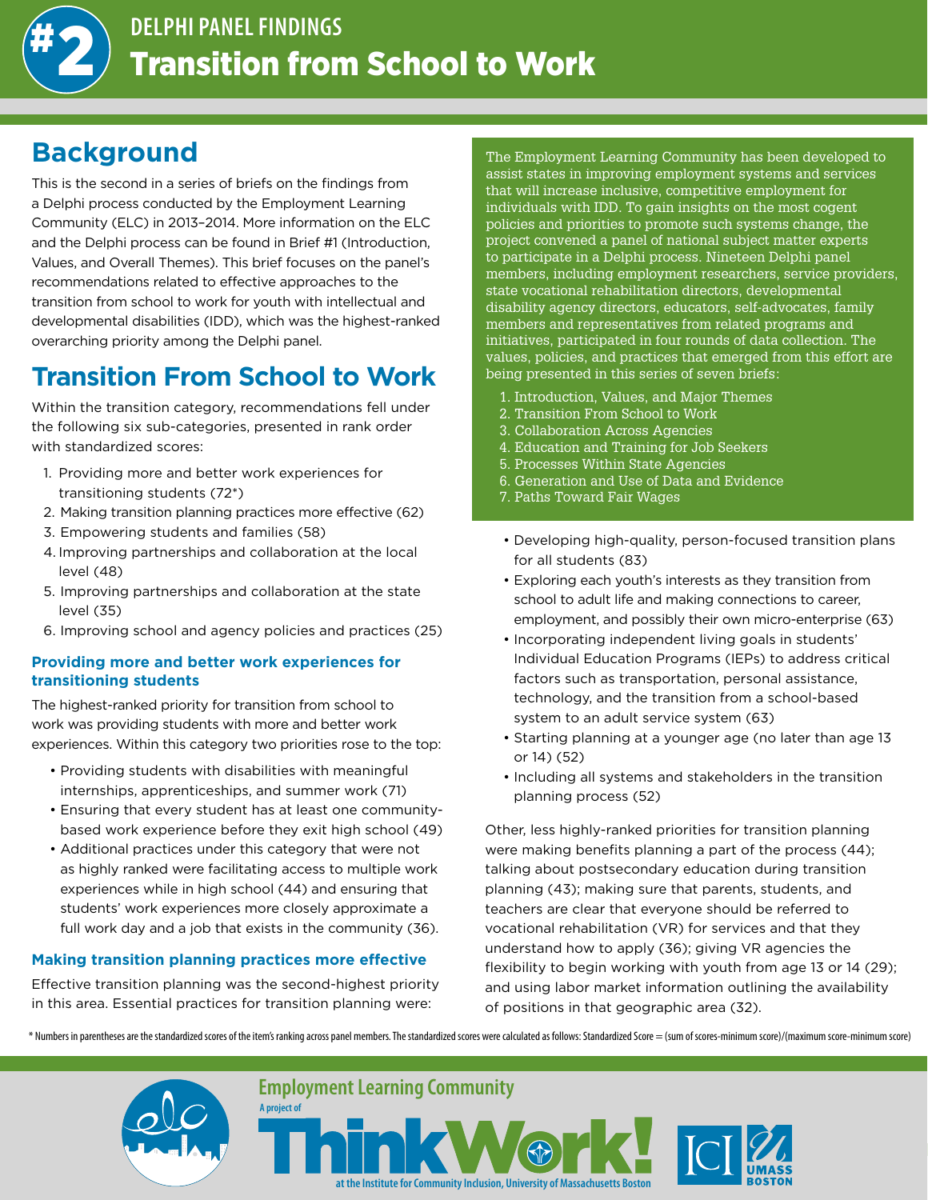

## **Background**

This is the second in a series of briefs on the findings from a Delphi process conducted by the Employment Learning Community (ELC) in 2013–2014. More information on the ELC and the Delphi process can be found in Brief #1 (Introduction, Values, and Overall Themes). This brief focuses on the panel's recommendations related to effective approaches to the transition from school to work for youth with intellectual and developmental disabilities (IDD), which was the highest-ranked overarching priority among the Delphi panel.

# **Transition From School to Work**

Within the transition category, recommendations fell under the following six sub-categories, presented in rank order with standardized scores:

- 1. Providing more and better work experiences for transitioning students (72\*)
- 2. Making transition planning practices more effective (62)
- 3. Empowering students and families (58)
- 4. Improving partnerships and collaboration at the local level (48)
- 5. Improving partnerships and collaboration at the state level (35)
- 6. Improving school and agency policies and practices (25)

#### **Providing more and better work experiences for transitioning students**

The highest-ranked priority for transition from school to work was providing students with more and better work experiences. Within this category two priorities rose to the top:

- Providing students with disabilities with meaningful internships, apprenticeships, and summer work (71)
- Ensuring that every student has at least one communitybased work experience before they exit high school (49)
- Additional practices under this category that were not as highly ranked were facilitating access to multiple work experiences while in high school (44) and ensuring that students' work experiences more closely approximate a full work day and a job that exists in the community (36).

### **Making transition planning practices more effective**

Effective transition planning was the second-highest priority in this area. Essential practices for transition planning were:

The Employment Learning Community has been developed to assist states in improving employment systems and services that will increase inclusive, competitive employment for individuals with IDD. To gain insights on the most cogent policies and priorities to promote such systems change, the project convened a panel of national subject matter experts to participate in a Delphi process. Nineteen Delphi panel members, including employment researchers, service providers, state vocational rehabilitation directors, developmental disability agency directors, educators, self-advocates, family members and representatives from related programs and initiatives, participated in four rounds of data collection. The values, policies, and practices that emerged from this effort are being presented in this series of seven briefs:

- 1. Introduction, Values, and Major Themes
- 2. Transition From School to Work
- 3. Collaboration Across Agencies
- 4. Education and Training for Job Seekers
- 5. Processes Within State Agencies
- 6. Generation and Use of Data and Evidence
- 7. Paths Toward Fair Wages
- Developing high-quality, person-focused transition plans for all students (83)
- Exploring each youth's interests as they transition from school to adult life and making connections to career, employment, and possibly their own micro-enterprise (63)
- Incorporating independent living goals in students' Individual Education Programs (IEPs) to address critical factors such as transportation, personal assistance, technology, and the transition from a school-based system to an adult service system (63)
- Starting planning at a younger age (no later than age 13 or 14) (52)
- Including all systems and stakeholders in the transition planning process (52)

Other, less highly-ranked priorities for transition planning were making benefits planning a part of the process (44); talking about postsecondary education during transition planning (43); making sure that parents, students, and teachers are clear that everyone should be referred to vocational rehabilitation (VR) for services and that they understand how to apply (36); giving VR agencies the flexibility to begin working with youth from age 13 or 14 (29); and using labor market information outlining the availability of positions in that geographic area (32).

\* Numbers in parentheses are the standardized scores of the item's ranking across panel members. The standardized scores were calculated as follows: Standardized Score = (sum of scores-minimum score)/(maximum score-minimum

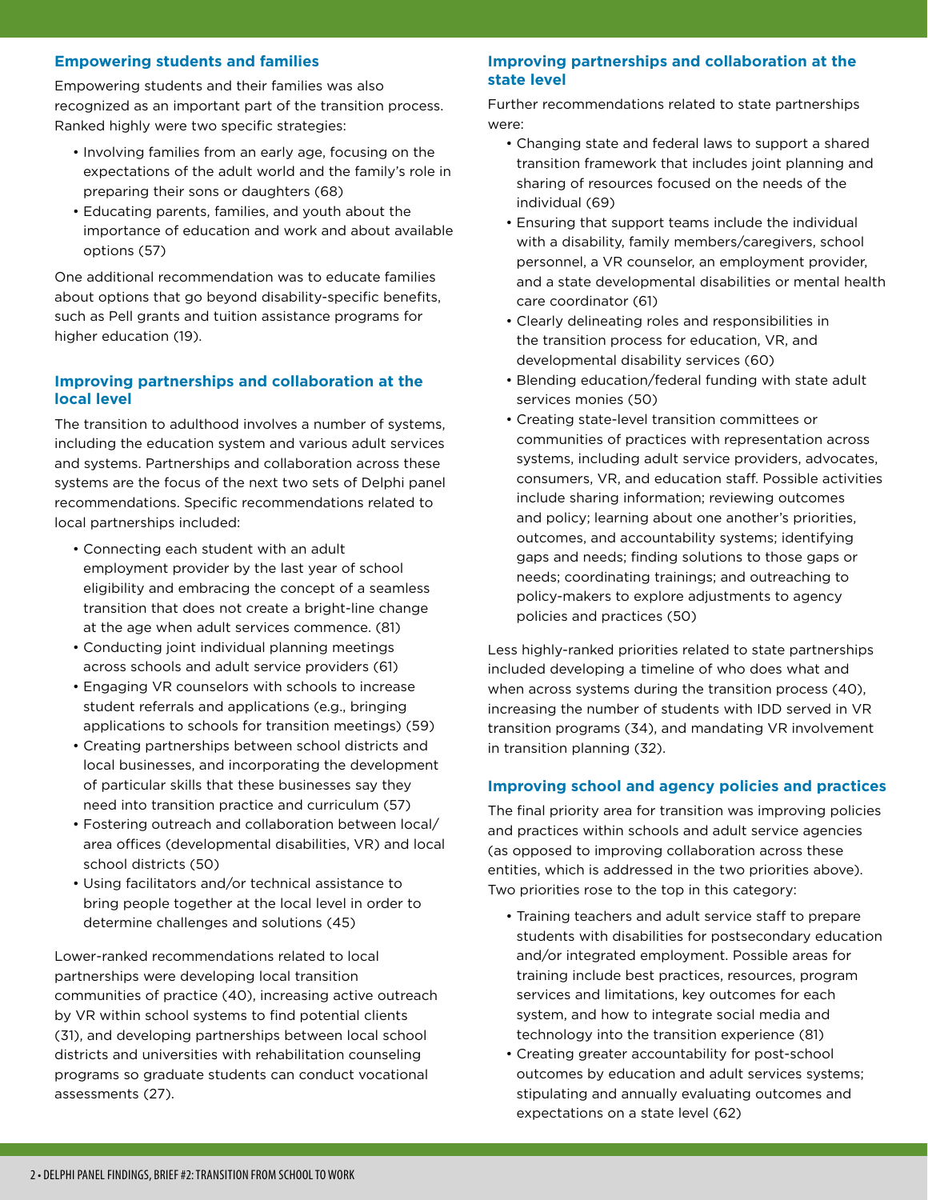#### **Empowering students and families**

Empowering students and their families was also recognized as an important part of the transition process. Ranked highly were two specific strategies:

- Involving families from an early age, focusing on the expectations of the adult world and the family's role in preparing their sons or daughters (68)
- Educating parents, families, and youth about the importance of education and work and about available options (57)

One additional recommendation was to educate families about options that go beyond disability-specific benefits, such as Pell grants and tuition assistance programs for higher education (19).

#### **Improving partnerships and collaboration at the local level**

The transition to adulthood involves a number of systems, including the education system and various adult services and systems. Partnerships and collaboration across these systems are the focus of the next two sets of Delphi panel recommendations. Specific recommendations related to local partnerships included:

- Connecting each student with an adult employment provider by the last year of school eligibility and embracing the concept of a seamless transition that does not create a bright-line change at the age when adult services commence. (81)
- Conducting joint individual planning meetings across schools and adult service providers (61)
- Engaging VR counselors with schools to increase student referrals and applications (e.g., bringing applications to schools for transition meetings) (59)
- Creating partnerships between school districts and local businesses, and incorporating the development of particular skills that these businesses say they need into transition practice and curriculum (57)
- Fostering outreach and collaboration between local/ area offices (developmental disabilities, VR) and local school districts (50)
- Using facilitators and/or technical assistance to bring people together at the local level in order to determine challenges and solutions (45)

Lower-ranked recommendations related to local partnerships were developing local transition communities of practice (40), increasing active outreach by VR within school systems to find potential clients (31), and developing partnerships between local school districts and universities with rehabilitation counseling programs so graduate students can conduct vocational assessments (27).

#### **Improving partnerships and collaboration at the state level**

Further recommendations related to state partnerships were:

- Changing state and federal laws to support a shared transition framework that includes joint planning and sharing of resources focused on the needs of the individual (69)
- Ensuring that support teams include the individual with a disability, family members/caregivers, school personnel, a VR counselor, an employment provider, and a state developmental disabilities or mental health care coordinator (61)
- Clearly delineating roles and responsibilities in the transition process for education, VR, and developmental disability services (60)
- Blending education/federal funding with state adult services monies (50)
- Creating state-level transition committees or communities of practices with representation across systems, including adult service providers, advocates, consumers, VR, and education staff. Possible activities include sharing information; reviewing outcomes and policy; learning about one another's priorities, outcomes, and accountability systems; identifying gaps and needs; finding solutions to those gaps or needs; coordinating trainings; and outreaching to policy-makers to explore adjustments to agency policies and practices (50)

Less highly-ranked priorities related to state partnerships included developing a timeline of who does what and when across systems during the transition process (40), increasing the number of students with IDD served in VR transition programs (34), and mandating VR involvement in transition planning (32).

#### **Improving school and agency policies and practices**

The final priority area for transition was improving policies and practices within schools and adult service agencies (as opposed to improving collaboration across these entities, which is addressed in the two priorities above). Two priorities rose to the top in this category:

- Training teachers and adult service staff to prepare students with disabilities for postsecondary education and/or integrated employment. Possible areas for training include best practices, resources, program services and limitations, key outcomes for each system, and how to integrate social media and technology into the transition experience (81)
- Creating greater accountability for post-school outcomes by education and adult services systems; stipulating and annually evaluating outcomes and expectations on a state level (62)